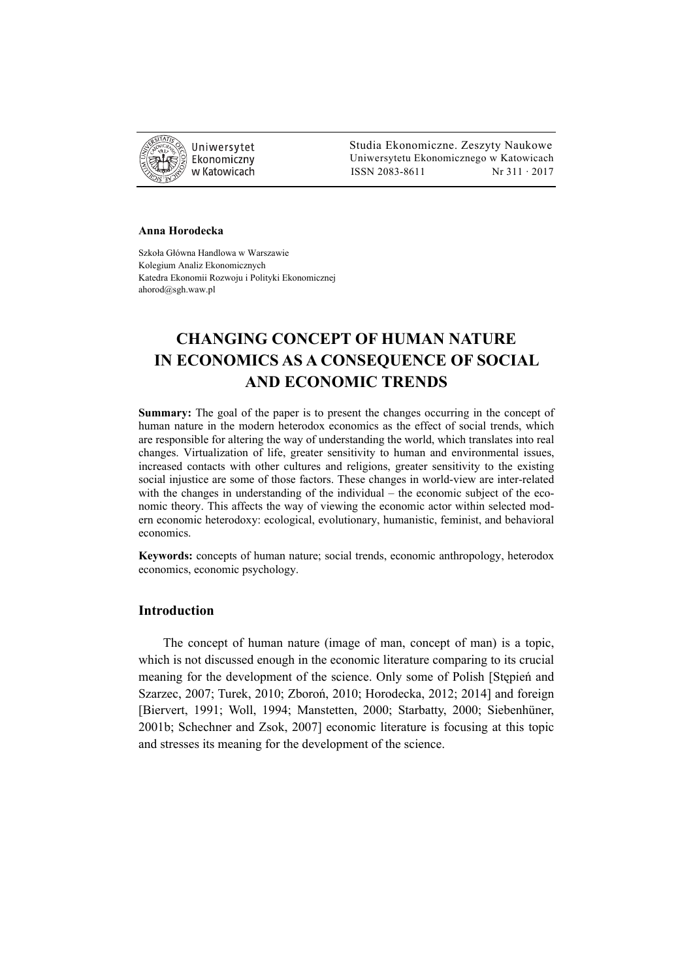

 Studia Ekonomiczne. Zeszyty Naukowe Ekonomiczny Uniwersytetu Ekonomicznego w Katowicach w Katowicach Matsus (ISSN 2083-8611 Nr 311 · 2017

#### **Anna Horodecka**

Szkoła Główna Handlowa w Warszawie Kolegium Analiz Ekonomicznych Katedra Ekonomii Rozwoju i Polityki Ekonomicznej ahorod@sgh.waw.pl

# **CHANGING CONCEPT OF HUMAN NATURE IN ECONOMICS AS A CONSEQUENCE OF SOCIAL AND ECONOMIC TRENDS**

**Summary:** The goal of the paper is to present the changes occurring in the concept of human nature in the modern heterodox economics as the effect of social trends, which are responsible for altering the way of understanding the world, which translates into real changes. Virtualization of life, greater sensitivity to human and environmental issues, increased contacts with other cultures and religions, greater sensitivity to the existing social injustice are some of those factors. These changes in world-view are inter-related with the changes in understanding of the individual – the economic subject of the economic theory. This affects the way of viewing the economic actor within selected modern economic heterodoxy: ecological, evolutionary, humanistic, feminist, and behavioral economics.

**Keywords:** concepts of human nature; social trends, economic anthropology, heterodox economics, economic psychology.

# **Introduction**

The concept of human nature (image of man, concept of man) is a topic, which is not discussed enough in the economic literature comparing to its crucial meaning for the development of the science. Only some of Polish [Stępień and Szarzec, 2007; Turek, 2010; Zboroń, 2010; Horodecka, 2012; 2014] and foreign [Biervert, 1991; Woll, 1994; Manstetten, 2000; Starbatty, 2000; Siebenhüner, 2001b; Schechner and Zsok, 2007] economic literature is focusing at this topic and stresses its meaning for the development of the science.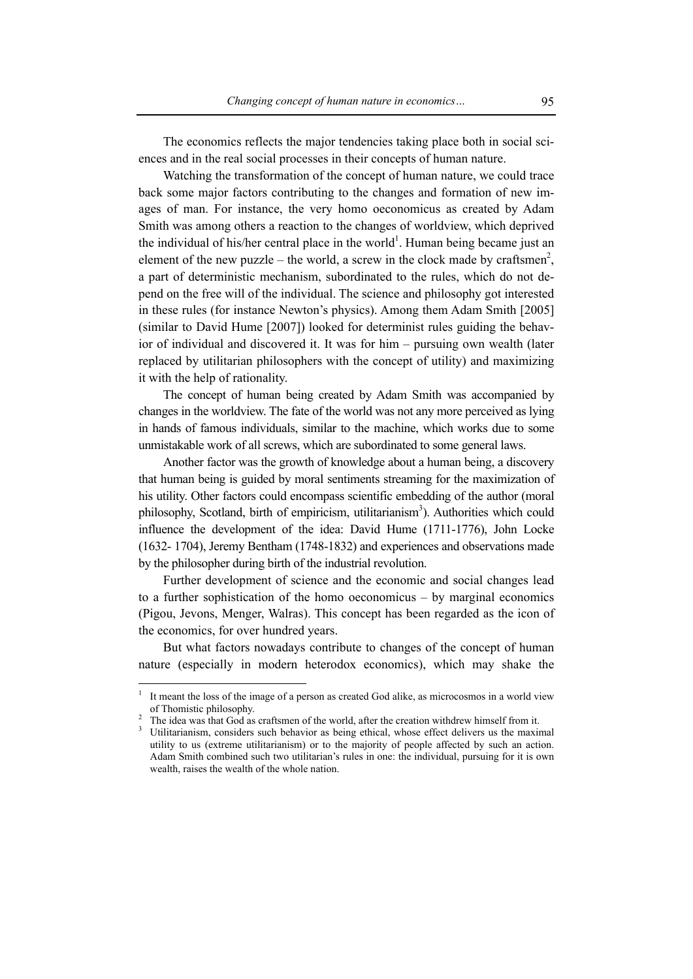The economics reflects the major tendencies taking place both in social sciences and in the real social processes in their concepts of human nature.

Watching the transformation of the concept of human nature, we could trace back some major factors contributing to the changes and formation of new images of man. For instance, the very homo oeconomicus as created by Adam Smith was among others a reaction to the changes of worldview, which deprived the individual of his/her central place in the world<sup>1</sup>. Human being became just an element of the new puzzle – the world, a screw in the clock made by craftsmen<sup>2</sup>, a part of deterministic mechanism, subordinated to the rules, which do not depend on the free will of the individual. The science and philosophy got interested in these rules (for instance Newton's physics). Among them Adam Smith [2005] (similar to David Hume [2007]) looked for determinist rules guiding the behavior of individual and discovered it. It was for him – pursuing own wealth (later replaced by utilitarian philosophers with the concept of utility) and maximizing it with the help of rationality.

The concept of human being created by Adam Smith was accompanied by changes in the worldview. The fate of the world was not any more perceived as lying in hands of famous individuals, similar to the machine, which works due to some unmistakable work of all screws, which are subordinated to some general laws.

Another factor was the growth of knowledge about a human being, a discovery that human being is guided by moral sentiments streaming for the maximization of his utility. Other factors could encompass scientific embedding of the author (moral philosophy, Scotland, birth of empiricism, utilitarianism<sup>3</sup>). Authorities which could influence the development of the idea: David Hume (1711-1776), John Locke (1632- 1704), Jeremy Bentham (1748-1832) and experiences and observations made by the philosopher during birth of the industrial revolution.

Further development of science and the economic and social changes lead to a further sophistication of the homo oeconomicus – by marginal economics (Pigou, Jevons, Menger, Walras). This concept has been regarded as the icon of the economics, for over hundred years.

But what factors nowadays contribute to changes of the concept of human nature (especially in modern heterodox economics), which may shake the

<sup>1</sup> It meant the loss of the image of a person as created God alike, as microcosmos in a world view of Thomistic philosophy. 2

The idea was that God as craftsmen of the world, after the creation withdrew himself from it.

<sup>3</sup> Utilitarianism, considers such behavior as being ethical, whose effect delivers us the maximal utility to us (extreme utilitarianism) or to the majority of people affected by such an action. Adam Smith combined such two utilitarian's rules in one: the individual, pursuing for it is own wealth, raises the wealth of the whole nation.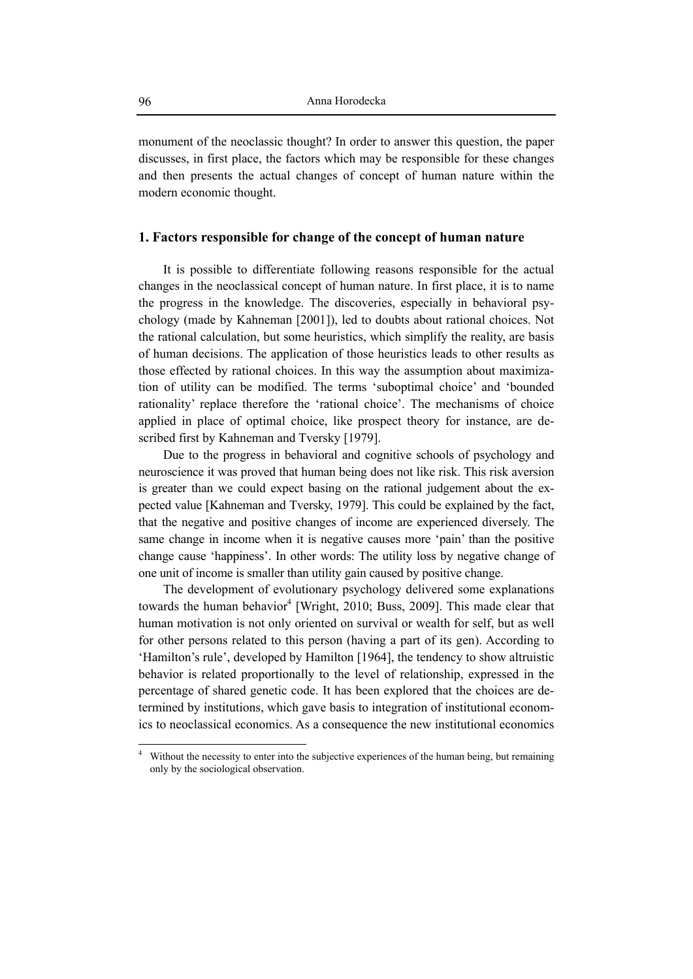monument of the neoclassic thought? In order to answer this question, the paper discusses, in first place, the factors which may be responsible for these changes and then presents the actual changes of concept of human nature within the modern economic thought.

# **1. Factors responsible for change of the concept of human nature**

It is possible to differentiate following reasons responsible for the actual changes in the neoclassical concept of human nature. In first place, it is to name the progress in the knowledge. The discoveries, especially in behavioral psychology (made by Kahneman [2001]), led to doubts about rational choices. Not the rational calculation, but some heuristics, which simplify the reality, are basis of human decisions. The application of those heuristics leads to other results as those effected by rational choices. In this way the assumption about maximization of utility can be modified. The terms 'suboptimal choice' and 'bounded rationality' replace therefore the 'rational choice'. The mechanisms of choice applied in place of optimal choice, like prospect theory for instance, are described first by Kahneman and Tversky [1979].

Due to the progress in behavioral and cognitive schools of psychology and neuroscience it was proved that human being does not like risk. This risk aversion is greater than we could expect basing on the rational judgement about the expected value [Kahneman and Tversky, 1979]. This could be explained by the fact, that the negative and positive changes of income are experienced diversely. The same change in income when it is negative causes more 'pain' than the positive change cause 'happiness'. In other words: The utility loss by negative change of one unit of income is smaller than utility gain caused by positive change.

The development of evolutionary psychology delivered some explanations towards the human behavior<sup>4</sup> [Wright, 2010; Buss, 2009]. This made clear that human motivation is not only oriented on survival or wealth for self, but as well for other persons related to this person (having a part of its gen). According to 'Hamilton's rule', developed by Hamilton [1964], the tendency to show altruistic behavior is related proportionally to the level of relationship, expressed in the percentage of shared genetic code. It has been explored that the choices are determined by institutions, which gave basis to integration of institutional economics to neoclassical economics. As a consequence the new institutional economics

<sup>4</sup> Without the necessity to enter into the subjective experiences of the human being, but remaining only by the sociological observation.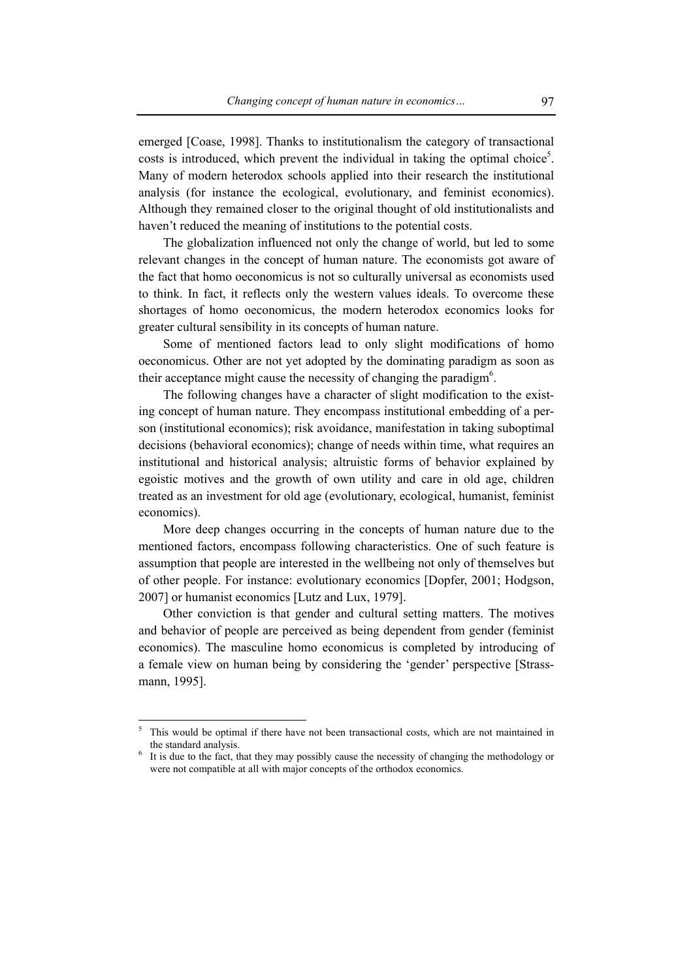emerged [Coase, 1998]. Thanks to institutionalism the category of transactional costs is introduced, which prevent the individual in taking the optimal choice<sup>5</sup>. Many of modern heterodox schools applied into their research the institutional analysis (for instance the ecological, evolutionary, and feminist economics). Although they remained closer to the original thought of old institutionalists and haven't reduced the meaning of institutions to the potential costs.

The globalization influenced not only the change of world, but led to some relevant changes in the concept of human nature. The economists got aware of the fact that homo oeconomicus is not so culturally universal as economists used to think. In fact, it reflects only the western values ideals. To overcome these shortages of homo oeconomicus, the modern heterodox economics looks for greater cultural sensibility in its concepts of human nature.

Some of mentioned factors lead to only slight modifications of homo oeconomicus. Other are not yet adopted by the dominating paradigm as soon as their acceptance might cause the necessity of changing the paradigm<sup>6</sup>.

The following changes have a character of slight modification to the existing concept of human nature. They encompass institutional embedding of a person (institutional economics); risk avoidance, manifestation in taking suboptimal decisions (behavioral economics); change of needs within time, what requires an institutional and historical analysis; altruistic forms of behavior explained by egoistic motives and the growth of own utility and care in old age, children treated as an investment for old age (evolutionary, ecological, humanist, feminist economics).

More deep changes occurring in the concepts of human nature due to the mentioned factors, encompass following characteristics. One of such feature is assumption that people are interested in the wellbeing not only of themselves but of other people. For instance: evolutionary economics [Dopfer, 2001; Hodgson, 2007] or humanist economics [Lutz and Lux, 1979].

Other conviction is that gender and cultural setting matters. The motives and behavior of people are perceived as being dependent from gender (feminist economics). The masculine homo economicus is completed by introducing of a female view on human being by considering the 'gender' perspective [Strassmann, 1995].

<sup>5</sup> This would be optimal if there have not been transactional costs, which are not maintained in the standard analysis.

It is due to the fact, that they may possibly cause the necessity of changing the methodology or were not compatible at all with major concepts of the orthodox economics.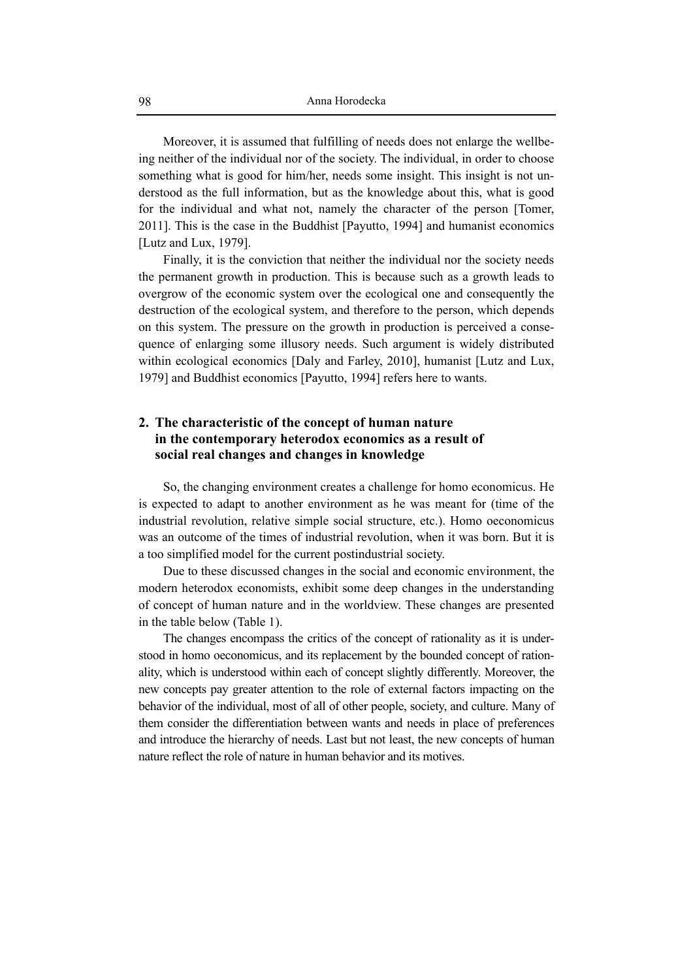Moreover, it is assumed that fulfilling of needs does not enlarge the wellbeing neither of the individual nor of the society. The individual, in order to choose something what is good for him/her, needs some insight. This insight is not understood as the full information, but as the knowledge about this, what is good for the individual and what not, namely the character of the person [Tomer, 2011]. This is the case in the Buddhist [Payutto, 1994] and humanist economics [Lutz and Lux, 1979].

Finally, it is the conviction that neither the individual nor the society needs the permanent growth in production. This is because such as a growth leads to overgrow of the economic system over the ecological one and consequently the destruction of the ecological system, and therefore to the person, which depends on this system. The pressure on the growth in production is perceived a consequence of enlarging some illusory needs. Such argument is widely distributed within ecological economics [Daly and Farley, 2010], humanist [Lutz and Lux, 1979] and Buddhist economics [Payutto, 1994] refers here to wants.

# **2. The characteristic of the concept of human nature in the contemporary heterodox economics as a result of social real changes and changes in knowledge**

So, the changing environment creates a challenge for homo economicus. He is expected to adapt to another environment as he was meant for (time of the industrial revolution, relative simple social structure, etc.). Homo oeconomicus was an outcome of the times of industrial revolution, when it was born. But it is a too simplified model for the current postindustrial society.

Due to these discussed changes in the social and economic environment, the modern heterodox economists, exhibit some deep changes in the understanding of concept of human nature and in the worldview. These changes are presented in the table below (Table 1).

The changes encompass the critics of the concept of rationality as it is understood in homo oeconomicus, and its replacement by the bounded concept of rationality, which is understood within each of concept slightly differently. Moreover, the new concepts pay greater attention to the role of external factors impacting on the behavior of the individual, most of all of other people, society, and culture. Many of them consider the differentiation between wants and needs in place of preferences and introduce the hierarchy of needs. Last but not least, the new concepts of human nature reflect the role of nature in human behavior and its motives.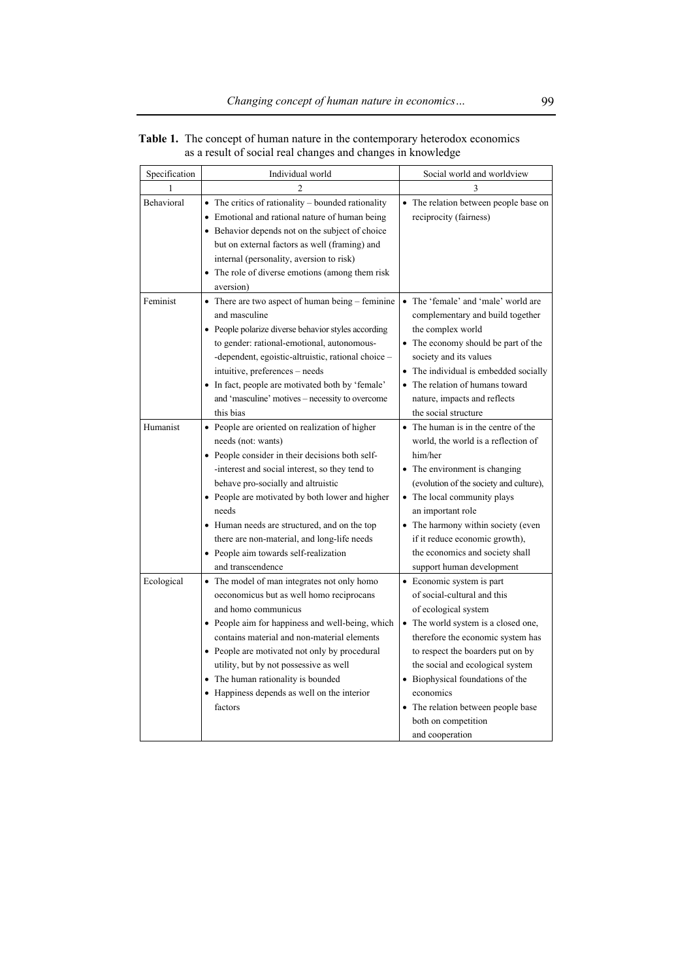| Specification | Individual world                                                                                                                                                                                                                                                                                                                                                                                                                         | Social world and worldview                                                                                                                                                                                                                                                                                                                                             |
|---------------|------------------------------------------------------------------------------------------------------------------------------------------------------------------------------------------------------------------------------------------------------------------------------------------------------------------------------------------------------------------------------------------------------------------------------------------|------------------------------------------------------------------------------------------------------------------------------------------------------------------------------------------------------------------------------------------------------------------------------------------------------------------------------------------------------------------------|
| 1             |                                                                                                                                                                                                                                                                                                                                                                                                                                          | 3                                                                                                                                                                                                                                                                                                                                                                      |
| Behavioral    | $\bullet$ The critics of rationality – bounded rationality<br>• Emotional and rational nature of human being<br>• Behavior depends not on the subject of choice<br>but on external factors as well (framing) and<br>internal (personality, aversion to risk)<br>• The role of diverse emotions (among them risk                                                                                                                          | • The relation between people base on<br>reciprocity (fairness)                                                                                                                                                                                                                                                                                                        |
|               | aversion)                                                                                                                                                                                                                                                                                                                                                                                                                                |                                                                                                                                                                                                                                                                                                                                                                        |
| Feminist      | • There are two aspect of human being – feminine<br>and masculine<br>• People polarize diverse behavior styles according<br>to gender: rational-emotional, autonomous-<br>-dependent, egoistic-altruistic, rational choice -<br>intuitive, preferences - needs<br>• In fact, people are motivated both by 'female'<br>and 'masculine' motives – necessity to overcome                                                                    | The 'female' and 'male' world are<br>complementary and build together<br>the complex world<br>• The economy should be part of the<br>society and its values<br>• The individual is embedded socially<br>• The relation of humans toward<br>nature, impacts and reflects                                                                                                |
|               | this bias                                                                                                                                                                                                                                                                                                                                                                                                                                | the social structure                                                                                                                                                                                                                                                                                                                                                   |
| Humanist      | • People are oriented on realization of higher<br>needs (not: wants)<br>• People consider in their decisions both self-<br>-interest and social interest, so they tend to<br>behave pro-socially and altruistic<br>• People are motivated by both lower and higher<br>needs<br>• Human needs are structured, and on the top<br>there are non-material, and long-life needs<br>• People aim towards self-realization<br>and transcendence | • The human is in the centre of the<br>world, the world is a reflection of<br>him/her<br>• The environment is changing<br>(evolution of the society and culture),<br>• The local community plays<br>an important role<br>• The harmony within society (even<br>if it reduce economic growth),<br>the economics and society shall<br>support human development          |
| Ecological    | • The model of man integrates not only homo<br>oeconomicus but as well homo reciprocans<br>and homo communicus<br>• People aim for happiness and well-being, which<br>contains material and non-material elements<br>• People are motivated not only by procedural<br>utility, but by not possessive as well<br>• The human rationality is bounded<br>• Happiness depends as well on the interior<br>factors                             | • Economic system is part<br>of social-cultural and this<br>of ecological system<br>• The world system is a closed one,<br>therefore the economic system has<br>to respect the boarders put on by<br>the social and ecological system<br>• Biophysical foundations of the<br>economics<br>• The relation between people base<br>both on competition<br>and cooperation |

**Table 1.** The concept of human nature in the contemporary heterodox economics as a result of social real changes and changes in knowledge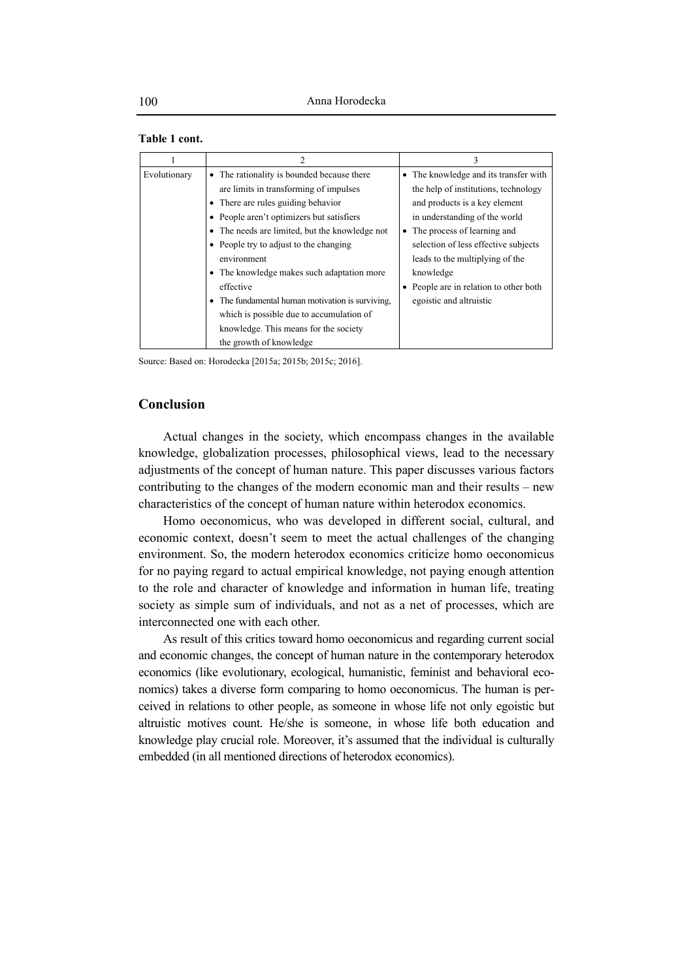### **Table 1 cont.**

|              |                                                | 3                                      |  |
|--------------|------------------------------------------------|----------------------------------------|--|
| Evolutionary | • The rationality is bounded because there     | • The knowledge and its transfer with  |  |
|              | are limits in transforming of impulses         | the help of institutions, technology   |  |
|              | • There are rules guiding behavior             | and products is a key element          |  |
|              | • People aren't optimizers but satisfiers      | in understanding of the world          |  |
|              | • The needs are limited, but the knowledge not | • The process of learning and          |  |
|              | • People try to adjust to the changing         | selection of less effective subjects   |  |
|              | environment                                    | leads to the multiplying of the        |  |
|              | • The knowledge makes such adaptation more     | knowledge                              |  |
|              | effective                                      | • People are in relation to other both |  |
|              | The fundamental human motivation is surviving. | egoistic and altruistic                |  |
|              | which is possible due to accumulation of       |                                        |  |
|              | knowledge. This means for the society          |                                        |  |
|              | the growth of knowledge                        |                                        |  |

Source: Based on: Horodecka [2015a; 2015b; 2015c; 2016].

# **Conclusion**

Actual changes in the society, which encompass changes in the available knowledge, globalization processes, philosophical views, lead to the necessary adjustments of the concept of human nature. This paper discusses various factors contributing to the changes of the modern economic man and their results – new characteristics of the concept of human nature within heterodox economics.

Homo oeconomicus, who was developed in different social, cultural, and economic context, doesn't seem to meet the actual challenges of the changing environment. So, the modern heterodox economics criticize homo oeconomicus for no paying regard to actual empirical knowledge, not paying enough attention to the role and character of knowledge and information in human life, treating society as simple sum of individuals, and not as a net of processes, which are interconnected one with each other.

As result of this critics toward homo oeconomicus and regarding current social and economic changes, the concept of human nature in the contemporary heterodox economics (like evolutionary, ecological, humanistic, feminist and behavioral economics) takes a diverse form comparing to homo oeconomicus. The human is perceived in relations to other people, as someone in whose life not only egoistic but altruistic motives count. He/she is someone, in whose life both education and knowledge play crucial role. Moreover, it's assumed that the individual is culturally embedded (in all mentioned directions of heterodox economics).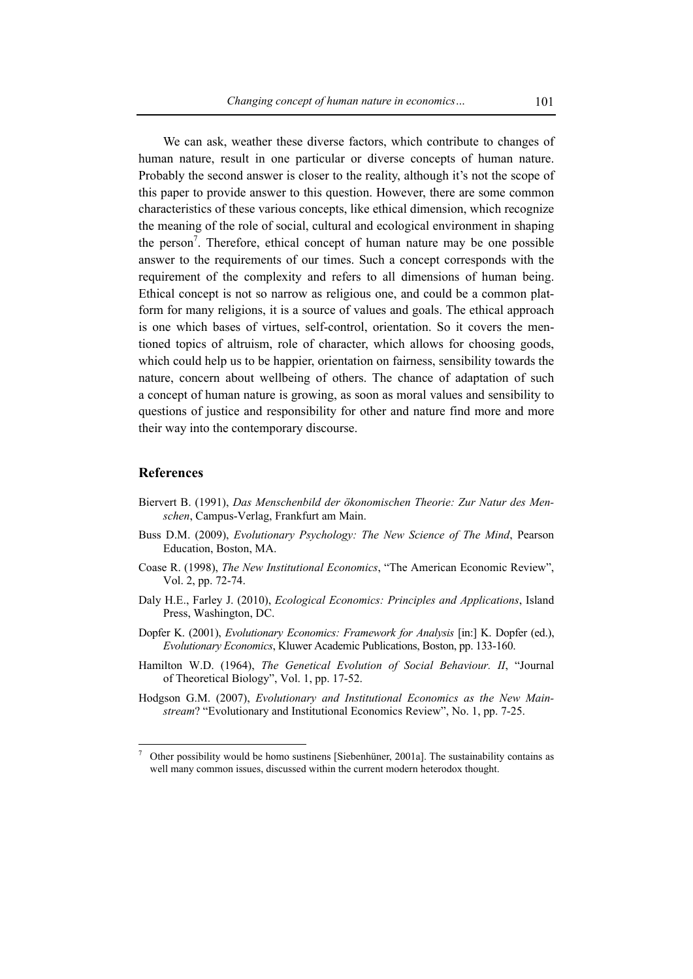We can ask, weather these diverse factors, which contribute to changes of human nature, result in one particular or diverse concepts of human nature. Probably the second answer is closer to the reality, although it's not the scope of this paper to provide answer to this question. However, there are some common characteristics of these various concepts, like ethical dimension, which recognize the meaning of the role of social, cultural and ecological environment in shaping the person<sup>7</sup>. Therefore, ethical concept of human nature may be one possible answer to the requirements of our times. Such a concept corresponds with the requirement of the complexity and refers to all dimensions of human being. Ethical concept is not so narrow as religious one, and could be a common platform for many religions, it is a source of values and goals. The ethical approach is one which bases of virtues, self-control, orientation. So it covers the mentioned topics of altruism, role of character, which allows for choosing goods, which could help us to be happier, orientation on fairness, sensibility towards the nature, concern about wellbeing of others. The chance of adaptation of such a concept of human nature is growing, as soon as moral values and sensibility to questions of justice and responsibility for other and nature find more and more their way into the contemporary discourse.

### **References**

- Biervert B. (1991), *Das Menschenbild der ökonomischen Theorie: Zur Natur des Menschen*, Campus-Verlag, Frankfurt am Main.
- Buss D.M. (2009), *Evolutionary Psychology: The New Science of The Mind*, Pearson Education, Boston, MA.
- Coase R. (1998), *The New Institutional Economics*, "The American Economic Review", Vol. 2, pp. 72-74.
- Daly H.E., Farley J. (2010), *Ecological Economics: Principles and Applications*, Island Press, Washington, DC.
- Dopfer K. (2001), *Evolutionary Economics: Framework for Analysis* [in:] K. Dopfer (ed.), *Evolutionary Economics*, Kluwer Academic Publications, Boston, pp. 133-160.
- Hamilton W.D. (1964), *The Genetical Evolution of Social Behaviour. II*, "Journal of Theoretical Biology", Vol. 1, pp. 17-52.
- Hodgson G.M. (2007), *Evolutionary and Institutional Economics as the New Mainstream*? "Evolutionary and Institutional Economics Review", No. 1, pp. 7-25.

<sup>7</sup> Other possibility would be homo sustinens [Siebenhüner, 2001a]. The sustainability contains as well many common issues, discussed within the current modern heterodox thought.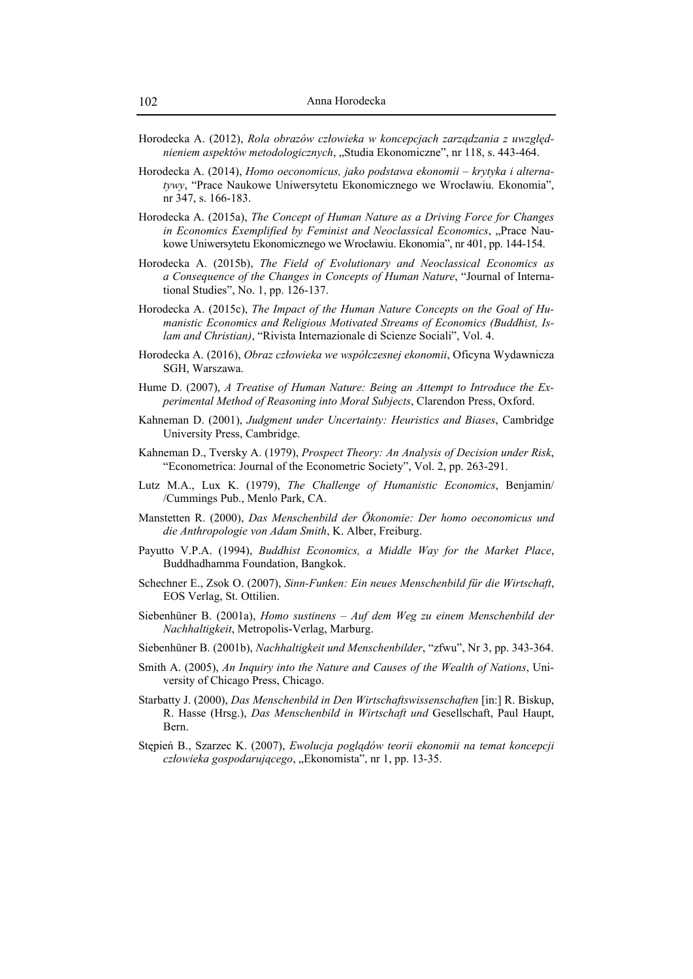- Horodecka A. (2012), *Rola obrazów człowieka w koncepcjach zarządzania z uwzględnieniem aspektów metodologicznych*, "Studia Ekonomiczne", nr 118, s. 443-464.
- Horodecka A. (2014), *Homo oeconomicus, jako podstawa ekonomii krytyka i alternatywy*, "Prace Naukowe Uniwersytetu Ekonomicznego we Wrocławiu. Ekonomia", nr 347, s. 166-183.
- Horodecka A. (2015a), *The Concept of Human Nature as a Driving Force for Changes in Economics Exemplified by Feminist and Neoclassical Economics*, "Prace Naukowe Uniwersytetu Ekonomicznego we Wrocławiu. Ekonomia", nr 401, pp. 144-154.
- Horodecka A. (2015b), *The Field of Evolutionary and Neoclassical Economics as a Consequence of the Changes in Concepts of Human Nature*, "Journal of International Studies", No. 1, pp. 126-137.
- Horodecka A. (2015c), *The Impact of the Human Nature Concepts on the Goal of Humanistic Economics and Religious Motivated Streams of Economics (Buddhist, Islam and Christian)*, "Rivista Internazionale di Scienze Sociali", Vol. 4.
- Horodecka A. (2016), *Obraz człowieka we współczesnej ekonomii*, Oficyna Wydawnicza SGH, Warszawa.
- Hume D. (2007), *A Treatise of Human Nature: Being an Attempt to Introduce the Experimental Method of Reasoning into Moral Subjects*, Clarendon Press, Oxford.
- Kahneman D. (2001), *Judgment under Uncertainty: Heuristics and Biases*, Cambridge University Press, Cambridge.
- Kahneman D., Tversky A. (1979), *Prospect Theory: An Analysis of Decision under Risk*, "Econometrica: Journal of the Econometric Society", Vol. 2, pp. 263-291.
- Lutz M.A., Lux K. (1979), *The Challenge of Humanistic Economics*, Benjamin/ /Cummings Pub., Menlo Park, CA.
- Manstetten R. (2000), *Das Menschenbild der Ökonomie: Der homo oeconomicus und die Anthropologie von Adam Smith*, K. Alber, Freiburg.
- Payutto V.P.A. (1994), *Buddhist Economics, a Middle Way for the Market Place*, Buddhadhamma Foundation, Bangkok.
- Schechner E., Zsok O. (2007), *Sinn-Funken: Ein neues Menschenbild für die Wirtschaft*, EOS Verlag, St. Ottilien.
- Siebenhüner B. (2001a), *Homo sustinens Auf dem Weg zu einem Menschenbild der Nachhaltigkeit*, Metropolis-Verlag, Marburg.
- Siebenhüner B. (2001b), *Nachhaltigkeit und Menschenbilder*, "zfwu", Nr 3, pp. 343-364.
- Smith A. (2005), *An Inquiry into the Nature and Causes of the Wealth of Nations*, University of Chicago Press, Chicago.
- Starbatty J. (2000), *Das Menschenbild in Den Wirtschaftswissenschaften* [in:] R. Biskup, R. Hasse (Hrsg.), *Das Menschenbild in Wirtschaft und* Gesellschaft, Paul Haupt, Bern.
- Stępień B., Szarzec K. (2007), *Ewolucja poglądów teorii ekonomii na temat koncepcji człowieka gospodarującego*, "Ekonomista", nr 1, pp. 13-35.